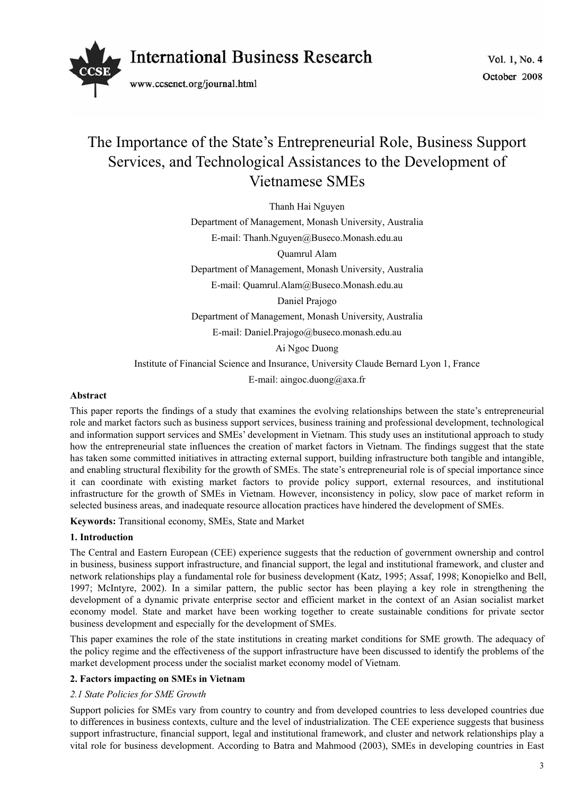**International Business Research** 



Vol. 1, No. 4 October 2008

# The Importance of the State's Entrepreneurial Role, Business Support Services, and Technological Assistances to the Development of Vietnamese SMEs

Thanh Hai Nguyen

Department of Management, Monash University, Australia

E-mail: Thanh.Nguyen@Buseco.Monash.edu.au

Quamrul Alam

Department of Management, Monash University, Australia E-mail: Quamrul.Alam@Buseco.Monash.edu.au

Daniel Prajogo

Department of Management, Monash University, Australia

E-mail: Daniel.Prajogo@buseco.monash.edu.au

Ai Ngoc Duong

Institute of Financial Science and Insurance, University Claude Bernard Lyon 1, France

E-mail: aingoc.duong@axa.fr

## **Abstract**

This paper reports the findings of a study that examines the evolving relationships between the state's entrepreneurial role and market factors such as business support services, business training and professional development, technological and information support services and SMEs' development in Vietnam. This study uses an institutional approach to study how the entrepreneurial state influences the creation of market factors in Vietnam. The findings suggest that the state has taken some committed initiatives in attracting external support, building infrastructure both tangible and intangible, and enabling structural flexibility for the growth of SMEs. The state's entrepreneurial role is of special importance since it can coordinate with existing market factors to provide policy support, external resources, and institutional infrastructure for the growth of SMEs in Vietnam. However, inconsistency in policy, slow pace of market reform in selected business areas, and inadequate resource allocation practices have hindered the development of SMEs.

**Keywords:** Transitional economy, SMEs, State and Market

# **1. Introduction**

The Central and Eastern European (CEE) experience suggests that the reduction of government ownership and control in business, business support infrastructure, and financial support, the legal and institutional framework, and cluster and network relationships play a fundamental role for business development (Katz, 1995; Assaf, 1998; Konopielko and Bell, 1997; McIntyre, 2002). In a similar pattern, the public sector has been playing a key role in strengthening the development of a dynamic private enterprise sector and efficient market in the context of an Asian socialist market economy model. State and market have been working together to create sustainable conditions for private sector business development and especially for the development of SMEs.

This paper examines the role of the state institutions in creating market conditions for SME growth. The adequacy of the policy regime and the effectiveness of the support infrastructure have been discussed to identify the problems of the market development process under the socialist market economy model of Vietnam.

# **2. Factors impacting on SMEs in Vietnam**

# *2.1 State Policies for SME Growth*

Support policies for SMEs vary from country to country and from developed countries to less developed countries due to differences in business contexts, culture and the level of industrialization. The CEE experience suggests that business support infrastructure, financial support, legal and institutional framework, and cluster and network relationships play a vital role for business development. According to Batra and Mahmood (2003), SMEs in developing countries in East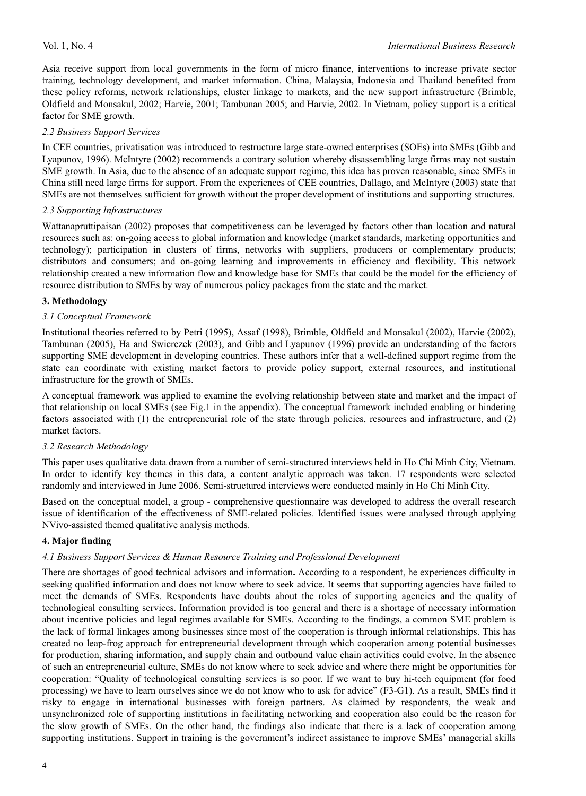Asia receive support from local governments in the form of micro finance, interventions to increase private sector training, technology development, and market information. China, Malaysia, Indonesia and Thailand benefited from these policy reforms, network relationships, cluster linkage to markets, and the new support infrastructure (Brimble, Oldfield and Monsakul, 2002; Harvie, 2001; Tambunan 2005; and Harvie, 2002. In Vietnam, policy support is a critical factor for SME growth.

### *2.2 Business Support Services*

In CEE countries, privatisation was introduced to restructure large state-owned enterprises (SOEs) into SMEs (Gibb and Lyapunov, 1996). McIntyre (2002) recommends a contrary solution whereby disassembling large firms may not sustain SME growth. In Asia, due to the absence of an adequate support regime, this idea has proven reasonable, since SMEs in China still need large firms for support. From the experiences of CEE countries, Dallago, and McIntyre (2003) state that SMEs are not themselves sufficient for growth without the proper development of institutions and supporting structures.

## *2.3 Supporting Infrastructures*

Wattanapruttipaisan (2002) proposes that competitiveness can be leveraged by factors other than location and natural resources such as: on-going access to global information and knowledge (market standards, marketing opportunities and technology); participation in clusters of firms, networks with suppliers, producers or complementary products; distributors and consumers; and on-going learning and improvements in efficiency and flexibility. This network relationship created a new information flow and knowledge base for SMEs that could be the model for the efficiency of resource distribution to SMEs by way of numerous policy packages from the state and the market.

## **3. Methodology**

## *3.1 Conceptual Framework*

Institutional theories referred to by Petri (1995), Assaf (1998), Brimble, Oldfield and Monsakul (2002), Harvie (2002), Tambunan (2005), Ha and Swierczek (2003), and Gibb and Lyapunov (1996) provide an understanding of the factors supporting SME development in developing countries. These authors infer that a well-defined support regime from the state can coordinate with existing market factors to provide policy support, external resources, and institutional infrastructure for the growth of SMEs.

A conceptual framework was applied to examine the evolving relationship between state and market and the impact of that relationship on local SMEs (see Fig.1 in the appendix). The conceptual framework included enabling or hindering factors associated with (1) the entrepreneurial role of the state through policies, resources and infrastructure, and (2) market factors.

# *3.2 Research Methodology*

This paper uses qualitative data drawn from a number of semi-structured interviews held in Ho Chi Minh City, Vietnam. In order to identify key themes in this data, a content analytic approach was taken. 17 respondents were selected randomly and interviewed in June 2006. Semi-structured interviews were conducted mainly in Ho Chi Minh City.

Based on the conceptual model, a group - comprehensive questionnaire was developed to address the overall research issue of identification of the effectiveness of SME-related policies. Identified issues were analysed through applying NVivo-assisted themed qualitative analysis methods.

#### **4. Major finding**

#### *4.1 Business Support Services & Human Resource Training and Professional Development*

There are shortages of good technical advisors and information**.** According to a respondent, he experiences difficulty in seeking qualified information and does not know where to seek advice. It seems that supporting agencies have failed to meet the demands of SMEs. Respondents have doubts about the roles of supporting agencies and the quality of technological consulting services. Information provided is too general and there is a shortage of necessary information about incentive policies and legal regimes available for SMEs. According to the findings, a common SME problem is the lack of formal linkages among businesses since most of the cooperation is through informal relationships. This has created no leap-frog approach for entrepreneurial development through which cooperation among potential businesses for production, sharing information, and supply chain and outbound value chain activities could evolve. In the absence of such an entrepreneurial culture, SMEs do not know where to seek advice and where there might be opportunities for cooperation: "Quality of technological consulting services is so poor. If we want to buy hi-tech equipment (for food processing) we have to learn ourselves since we do not know who to ask for advice" (F3-G1). As a result, SMEs find it risky to engage in international businesses with foreign partners. As claimed by respondents, the weak and unsynchronized role of supporting institutions in facilitating networking and cooperation also could be the reason for the slow growth of SMEs. On the other hand, the findings also indicate that there is a lack of cooperation among supporting institutions. Support in training is the government's indirect assistance to improve SMEs' managerial skills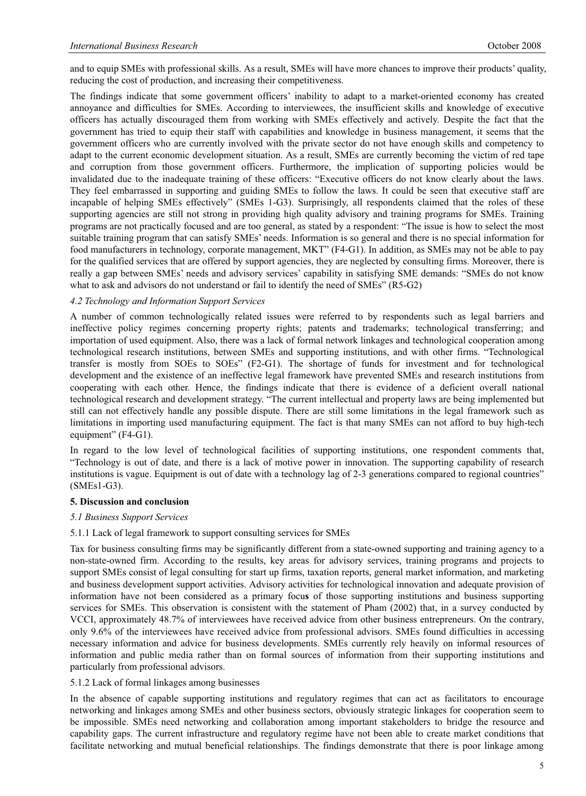and to equip SMEs with professional skills. As a result, SMEs will have more chances to improve their products' quality, reducing the cost of production, and increasing their competitiveness.

The findings indicate that some government officers' inability to adapt to a market-oriented economy has created annoyance and difficulties for SMEs. According to interviewees, the insufficient skills and knowledge of executive officers has actually discouraged them from working with SMEs effectively and actively. Despite the fact that the government has tried to equip their staff with capabilities and knowledge in business management, it seems that the government officers who are currently involved with the private sector do not have enough skills and competency to adapt to the current economic development situation. As a result, SMEs are currently becoming the victim of red tape and corruption from those government officers. Furthermore, the implication of supporting policies would be invalidated due to the inadequate training of these officers: "Executive officers do not know clearly about the laws. They feel embarrassed in supporting and guiding SMEs to follow the laws. It could be seen that executive staff are incapable of helping SMEs effectively" (SMEs 1-G3). Surprisingly, all respondents claimed that the roles of these supporting agencies are still not strong in providing high quality advisory and training programs for SMEs. Training programs are not practically focused and are too general, as stated by a respondent: "The issue is how to select the most suitable training program that can satisfy SMEs' needs. Information is so general and there is no special information for food manufacturers in technology, corporate management, MKT" (F4-G1). In addition, as SMEs may not be able to pay for the qualified services that are offered by support agencies, they are neglected by consulting firms. Moreover, there is really a gap between SMEs' needs and advisory services' capability in satisfying SME demands: "SMEs do not know what to ask and advisors do not understand or fail to identify the need of SMEs" (R5-G2)

#### *4.2 Technology and Information Support Services*

A number of common technologically related issues were referred to by respondents such as legal barriers and ineffective policy regimes concerning property rights; patents and trademarks; technological transferring; and importation of used equipment. Also, there was a lack of formal network linkages and technological cooperation among technological research institutions, between SMEs and supporting institutions, and with other firms. "Technological transfer is mostly from SOEs to SOEs" (F2-G1). The shortage of funds for investment and for technological development and the existence of an ineffective legal framework have prevented SMEs and research institutions from cooperating with each other. Hence, the findings indicate that there is evidence of a deficient overall national technological research and development strategy. "The current intellectual and property laws are being implemented but still can not effectively handle any possible dispute. There are still some limitations in the legal framework such as limitations in importing used manufacturing equipment. The fact is that many SMEs can not afford to buy high-tech equipment" (F4-G1).

In regard to the low level of technological facilities of supporting institutions, one respondent comments that, "Technology is out of date, and there is a lack of motive power in innovation. The supporting capability of research institutions is vague. Equipment is out of date with a technology lag of 2-3 generations compared to regional countries" (SMEs1-G3).

#### **5. Discussion and conclusion**

#### *5.1 Business Support Services*

#### 5.1.1 Lack of legal framework to support consulting services for SMEs

Tax for business consulting firms may be significantly different from a state-owned supporting and training agency to a non-state-owned firm. According to the results, key areas for advisory services, training programs and projects to support SMEs consist of legal consulting for start up firms, taxation reports, general market information, and marketing and business development support activities. Advisory activities for technological innovation and adequate provision of information have not been considered as a primary focu**s** of those supporting institutions and business supporting services for SMEs. This observation is consistent with the statement of Pham (2002) that, in a survey conducted by VCCI, approximately 48.7% of interviewees have received advice from other business entrepreneurs. On the contrary, only 9.6% of the interviewees have received advice from professional advisors. SMEs found difficulties in accessing necessary information and advice for business developments. SMEs currently rely heavily on informal resources of information and public media rather than on formal sources of information from their supporting institutions and particularly from professional advisors.

#### 5.1.2 Lack of formal linkages among businesses

In the absence of capable supporting institutions and regulatory regimes that can act as facilitators to encourage networking and linkages among SMEs and other business sectors, obviously strategic linkages for cooperation seem to be impossible. SMEs need networking and collaboration among important stakeholders to bridge the resource and capability gaps. The current infrastructure and regulatory regime have not been able to create market conditions that facilitate networking and mutual beneficial relationships. The findings demonstrate that there is poor linkage among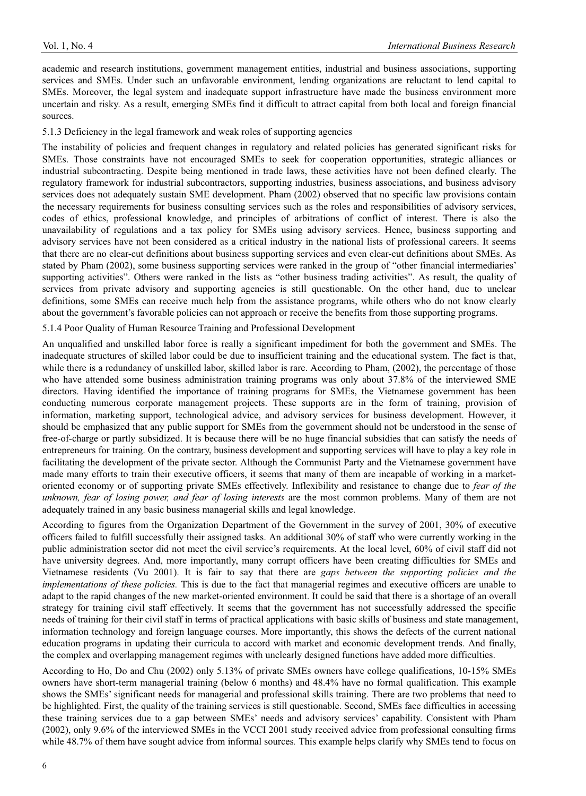academic and research institutions, government management entities, industrial and business associations, supporting services and SMEs. Under such an unfavorable environment, lending organizations are reluctant to lend capital to SMEs. Moreover, the legal system and inadequate support infrastructure have made the business environment more uncertain and risky. As a result, emerging SMEs find it difficult to attract capital from both local and foreign financial sources.

5.1.3 Deficiency in the legal framework and weak roles of supporting agencies

The instability of policies and frequent changes in regulatory and related policies has generated significant risks for SMEs. Those constraints have not encouraged SMEs to seek for cooperation opportunities, strategic alliances or industrial subcontracting. Despite being mentioned in trade laws, these activities have not been defined clearly. The regulatory framework for industrial subcontractors, supporting industries, business associations, and business advisory services does not adequately sustain SME development. Pham (2002) observed that no specific law provisions contain the necessary requirements for business consulting services such as the roles and responsibilities of advisory services, codes of ethics, professional knowledge, and principles of arbitrations of conflict of interest. There is also the unavailability of regulations and a tax policy for SMEs using advisory services. Hence, business supporting and advisory services have not been considered as a critical industry in the national lists of professional careers. It seems that there are no clear-cut definitions about business supporting services and even clear-cut definitions about SMEs. As stated by Pham (2002), some business supporting services were ranked in the group of "other financial intermediaries' supporting activities". Others were ranked in the lists as "other business trading activities". As result, the quality of services from private advisory and supporting agencies is still questionable. On the other hand, due to unclear definitions, some SMEs can receive much help from the assistance programs, while others who do not know clearly about the government's favorable policies can not approach or receive the benefits from those supporting programs.

#### 5.1.4 Poor Quality of Human Resource Training and Professional Development

An unqualified and unskilled labor force is really a significant impediment for both the government and SMEs. The inadequate structures of skilled labor could be due to insufficient training and the educational system. The fact is that, while there is a redundancy of unskilled labor, skilled labor is rare. According to Pham, (2002), the percentage of those who have attended some business administration training programs was only about 37.8% of the interviewed SME directors. Having identified the importance of training programs for SMEs, the Vietnamese government has been conducting numerous corporate management projects. These supports are in the form of training, provision of information, marketing support, technological advice, and advisory services for business development. However, it should be emphasized that any public support for SMEs from the government should not be understood in the sense of free-of-charge or partly subsidized. It is because there will be no huge financial subsidies that can satisfy the needs of entrepreneurs for training. On the contrary, business development and supporting services will have to play a key role in facilitating the development of the private sector. Although the Communist Party and the Vietnamese government have made many efforts to train their executive officers, it seems that many of them are incapable of working in a marketoriented economy or of supporting private SMEs effectively. Inflexibility and resistance to change due to *fear of the unknown, fear of losing power, and fear of losing interests* are the most common problems. Many of them are not adequately trained in any basic business managerial skills and legal knowledge.

According to figures from the Organization Department of the Government in the survey of 2001, 30% of executive officers failed to fulfill successfully their assigned tasks. An additional 30% of staff who were currently working in the public administration sector did not meet the civil service's requirements. At the local level, 60% of civil staff did not have university degrees. And, more importantly, many corrupt officers have been creating difficulties for SMEs and Vietnamese residents (Vu 2001). It is fair to say that there are *gaps between the supporting policies and the implementations of these policies.* This is due to the fact that managerial regimes and executive officers are unable to adapt to the rapid changes of the new market-oriented environment. It could be said that there is a shortage of an overall strategy for training civil staff effectively. It seems that the government has not successfully addressed the specific needs of training for their civil staff in terms of practical applications with basic skills of business and state management, information technology and foreign language courses. More importantly, this shows the defects of the current national education programs in updating their curricula to accord with market and economic development trends. And finally, the complex and overlapping management regimes with unclearly designed functions have added more difficulties.

According to Ho, Do and Chu (2002) only 5.13% of private SMEs owners have college qualifications, 10-15% SMEs owners have short-term managerial training (below 6 months) and 48.4% have no formal qualification. This example shows the SMEs' significant needs for managerial and professional skills training. There are two problems that need to be highlighted. First, the quality of the training services is still questionable. Second, SMEs face difficulties in accessing these training services due to a gap between SMEs' needs and advisory services' capability. Consistent with Pham (2002), only 9.6% of the interviewed SMEs in the VCCI 2001 study received advice from professional consulting firms while 48.7% of them have sought advice from informal sources*.* This example helps clarify why SMEs tend to focus on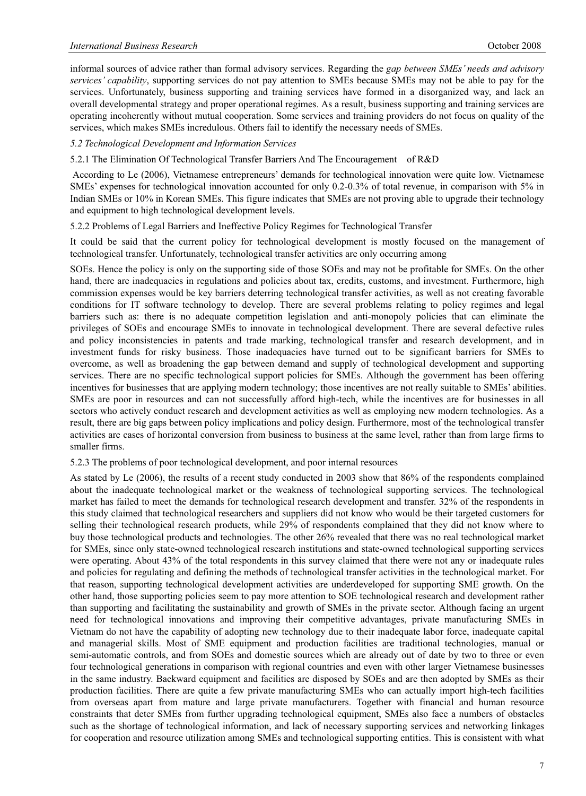informal sources of advice rather than formal advisory services. Regarding the *gap between SMEs' needs and advisory services' capability*, supporting services do not pay attention to SMEs because SMEs may not be able to pay for the services. Unfortunately, business supporting and training services have formed in a disorganized way, and lack an overall developmental strategy and proper operational regimes. As a result, business supporting and training services are operating incoherently without mutual cooperation. Some services and training providers do not focus on quality of the services, which makes SMEs incredulous. Others fail to identify the necessary needs of SMEs.

#### *5.2 Technological Development and Information Services*

5.2.1 The Elimination Of Technological Transfer Barriers And The Encouragement of R&D

According to Le (2006), Vietnamese entrepreneurs' demands for technological innovation were quite low. Vietnamese SMEs' expenses for technological innovation accounted for only 0.2-0.3% of total revenue, in comparison with 5% in Indian SMEs or 10% in Korean SMEs. This figure indicates that SMEs are not proving able to upgrade their technology and equipment to high technological development levels.

5.2.2 Problems of Legal Barriers and Ineffective Policy Regimes for Technological Transfer

It could be said that the current policy for technological development is mostly focused on the management of technological transfer. Unfortunately, technological transfer activities are only occurring among

SOEs. Hence the policy is only on the supporting side of those SOEs and may not be profitable for SMEs. On the other hand, there are inadequacies in regulations and policies about tax, credits, customs, and investment. Furthermore, high commission expenses would be key barriers deterring technological transfer activities, as well as not creating favorable conditions for IT software technology to develop. There are several problems relating to policy regimes and legal barriers such as: there is no adequate competition legislation and anti-monopoly policies that can eliminate the privileges of SOEs and encourage SMEs to innovate in technological development. There are several defective rules and policy inconsistencies in patents and trade marking, technological transfer and research development, and in investment funds for risky business. Those inadequacies have turned out to be significant barriers for SMEs to overcome, as well as broadening the gap between demand and supply of technological development and supporting services. There are no specific technological support policies for SMEs. Although the government has been offering incentives for businesses that are applying modern technology; those incentives are not really suitable to SMEs' abilities. SMEs are poor in resources and can not successfully afford high-tech, while the incentives are for businesses in all sectors who actively conduct research and development activities as well as employing new modern technologies. As a result, there are big gaps between policy implications and policy design. Furthermore, most of the technological transfer activities are cases of horizontal conversion from business to business at the same level, rather than from large firms to smaller firms.

5.2.3 The problems of poor technological development, and poor internal resources

As stated by Le (2006), the results of a recent study conducted in 2003 show that 86% of the respondents complained about the inadequate technological market or the weakness of technological supporting services. The technological market has failed to meet the demands for technological research development and transfer. 32% of the respondents in this study claimed that technological researchers and suppliers did not know who would be their targeted customers for selling their technological research products, while 29% of respondents complained that they did not know where to buy those technological products and technologies. The other 26% revealed that there was no real technological market for SMEs, since only state-owned technological research institutions and state-owned technological supporting services were operating. About 43% of the total respondents in this survey claimed that there were not any or inadequate rules and policies for regulating and defining the methods of technological transfer activities in the technological market. For that reason, supporting technological development activities are underdeveloped for supporting SME growth. On the other hand, those supporting policies seem to pay more attention to SOE technological research and development rather than supporting and facilitating the sustainability and growth of SMEs in the private sector. Although facing an urgent need for technological innovations and improving their competitive advantages, private manufacturing SMEs in Vietnam do not have the capability of adopting new technology due to their inadequate labor force, inadequate capital and managerial skills. Most of SME equipment and production facilities are traditional technologies, manual or semi-automatic controls, and from SOEs and domestic sources which are already out of date by two to three or even four technological generations in comparison with regional countries and even with other larger Vietnamese businesses in the same industry. Backward equipment and facilities are disposed by SOEs and are then adopted by SMEs as their production facilities. There are quite a few private manufacturing SMEs who can actually import high-tech facilities from overseas apart from mature and large private manufacturers. Together with financial and human resource constraints that deter SMEs from further upgrading technological equipment, SMEs also face a numbers of obstacles such as the shortage of technological information, and lack of necessary supporting services and networking linkages for cooperation and resource utilization among SMEs and technological supporting entities. This is consistent with what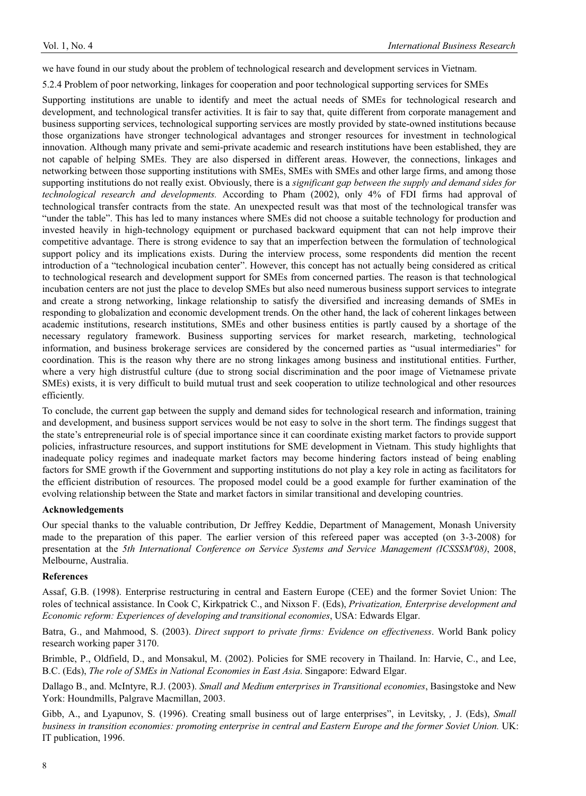we have found in our study about the problem of technological research and development services in Vietnam.

5.2.4 Problem of poor networking, linkages for cooperation and poor technological supporting services for SMEs

Supporting institutions are unable to identify and meet the actual needs of SMEs for technological research and development, and technological transfer activities. It is fair to say that, quite different from corporate management and business supporting services, technological supporting services are mostly provided by state-owned institutions because those organizations have stronger technological advantages and stronger resources for investment in technological innovation. Although many private and semi-private academic and research institutions have been established, they are not capable of helping SMEs. They are also dispersed in different areas. However, the connections, linkages and networking between those supporting institutions with SMEs, SMEs with SMEs and other large firms, and among those supporting institutions do not really exist. Obviously, there is a *significant gap between the supply and demand sides for technological research and developments.* According to Pham (2002), only 4% of FDI firms had approval of technological transfer contracts from the state. An unexpected result was that most of the technological transfer was "under the table". This has led to many instances where SMEs did not choose a suitable technology for production and invested heavily in high-technology equipment or purchased backward equipment that can not help improve their competitive advantage. There is strong evidence to say that an imperfection between the formulation of technological support policy and its implications exists. During the interview process, some respondents did mention the recent introduction of a "technological incubation center". However, this concept has not actually being considered as critical to technological research and development support for SMEs from concerned parties. The reason is that technological incubation centers are not just the place to develop SMEs but also need numerous business support services to integrate and create a strong networking, linkage relationship to satisfy the diversified and increasing demands of SMEs in responding to globalization and economic development trends. On the other hand, the lack of coherent linkages between academic institutions, research institutions, SMEs and other business entities is partly caused by a shortage of the necessary regulatory framework. Business supporting services for market research, marketing, technological information, and business brokerage services are considered by the concerned parties as "usual intermediaries" for coordination. This is the reason why there are no strong linkages among business and institutional entities. Further, where a very high distrustful culture (due to strong social discrimination and the poor image of Vietnamese private SMEs) exists, it is very difficult to build mutual trust and seek cooperation to utilize technological and other resources efficiently.

To conclude, the current gap between the supply and demand sides for technological research and information, training and development, and business support services would be not easy to solve in the short term. The findings suggest that the state's entrepreneurial role is of special importance since it can coordinate existing market factors to provide support policies, infrastructure resources, and support institutions for SME development in Vietnam. This study highlights that inadequate policy regimes and inadequate market factors may become hindering factors instead of being enabling factors for SME growth if the Government and supporting institutions do not play a key role in acting as facilitators for the efficient distribution of resources. The proposed model could be a good example for further examination of the evolving relationship between the State and market factors in similar transitional and developing countries.

#### **Acknowledgements**

Our special thanks to the valuable contribution, Dr Jeffrey Keddie, Department of Management, Monash University made to the preparation of this paper. The earlier version of this refereed paper was accepted (on 3-3-2008) for presentation at the *5th International Conference on Service Systems and Service Management (ICSSSM'08)*, 2008, Melbourne, Australia.

#### **References**

Assaf, G.B. (1998). Enterprise restructuring in central and Eastern Europe (CEE) and the former Soviet Union: The roles of technical assistance. In Cook C, Kirkpatrick C., and Nixson F. (Eds), *Privatization, Enterprise development and Economic reform: Experiences of developing and transitional economies*, USA: Edwards Elgar.

Batra, G., and Mahmood, S. (2003). *Direct support to private firms: Evidence on effectiveness*. World Bank policy research working paper 3170.

Brimble, P., Oldfield, D., and Monsakul, M. (2002). Policies for SME recovery in Thailand. In: Harvie, C., and Lee, B.C. (Eds), *The role of SMEs in National Economies in East Asia*. Singapore: Edward Elgar.

Dallago B., and. McIntyre, R.J. (2003). *Small and Medium enterprises in Transitional economies*, Basingstoke and New York: Houndmills, Palgrave Macmillan, 2003.

Gibb, A., and Lyapunov, S. (1996). Creating small business out of large enterprises", in Levitsky, *,* J. (Eds), *Small business in transition economies: promoting enterprise in central and Eastern Europe and the former Soviet Union.* UK: IT publication, 1996.